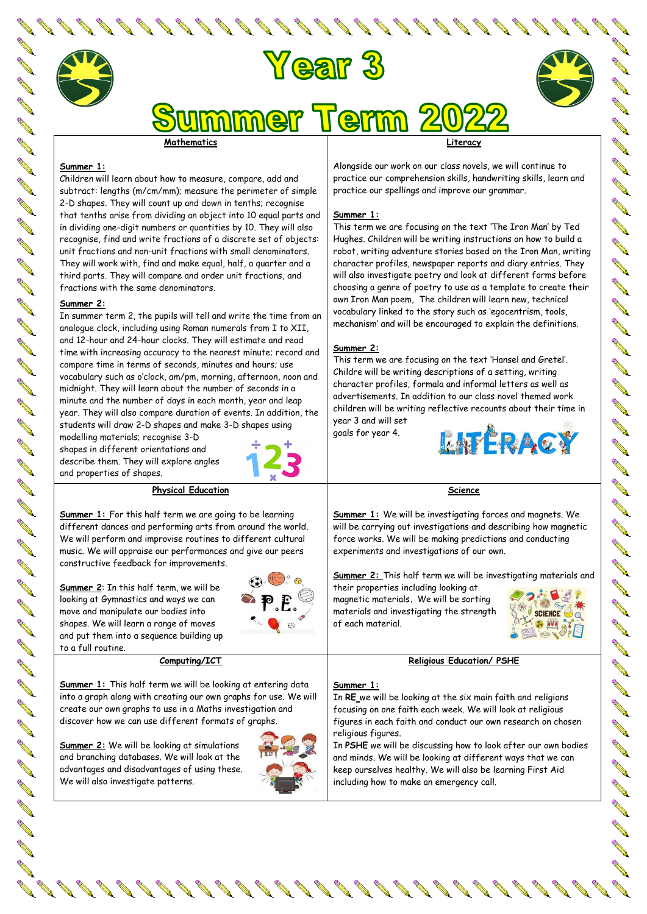# **Year 3**



nmer Term

# **Mathematics**

#### **Summer 1:**

**RAN** 

Children will learn about how to measure, compare, add and subtract: lengths (m/cm/mm); measure the perimeter of simple 2-D shapes. They will count up and down in tenths; recognise that tenths arise from dividing an object into 10 equal parts and in dividing one-digit numbers or quantities by 10. They will also recognise, find and write fractions of a discrete set of objects: unit fractions and non-unit fractions with small denominators. They will work with, find and make equal, half, a quarter and a third parts. They will compare and order unit fractions, and fractions with the same denominators.

#### **Summer 2:**

In summer term 2, the pupils will tell and write the time from an analogue clock, including using Roman numerals from I to XII, and 12-hour and 24-hour clocks. They will estimate and read time with increasing accuracy to the nearest minute; record and compare time in terms of seconds, minutes and hours; use vocabulary such as o'clock, am/pm, morning, afternoon, noon and midnight. They will learn about the number of seconds in a minute and the number of days in each month, year and leap year. They will also compare duration of events. In addition, the students will draw 2-D shapes and make 3-D shapes using

modelling materials; recognise 3-D shapes in different orientations and describe them. They will explore angles and properties of shapes.



**Physical Education**

**Summer 1:** For this half term we are going to be learning different dances and performing arts from around the world. We will perform and improvise routines to different cultural music. We will appraise our performances and give our peers constructive feedback for improvements.

**Summer 2**: In this half term, we will be looking at Gymnastics and ways we can move and manipulate our bodies into shapes. We will learn a range of moves and put them into a sequence building up



**Computing/ICT**

**Summer 1:** This half term we will be looking at entering data into a graph along with creating our own graphs for use. We will create our own graphs to use in a Maths investigation and discover how we can use different formats of graphs.

**Summer 2:** We will be looking at simulations and branching databases. We will look at the advantages and disadvantages of using these. We will also investigate patterns.



**Literacy**

Alongside our work on our class novels, we will continue to practice our comprehension skills, handwriting skills, learn and practice our spellings and improve our grammar.

#### **Summer 1:**

This term we are focusing on the text 'The Iron Man' by Ted Hughes. Children will be writing instructions on how to build a robot, writing adventure stories based on the Iron Man, writing character profiles, newspaper reports and diary entries. They will also investigate poetry and look at different forms before choosing a genre of poetry to use as a template to create their own Iron Man poem, The children will learn new, technical vocabulary linked to the story such as 'egocentrism, tools, mechanism' and will be encouraged to explain the definitions.

### **Summer 2:**

This term we are focusing on the text 'Hansel and Gretel'. Childre will be writing descriptions of a setting, writing character profiles, formala and informal letters as well as advertisements. In addition to our class novel themed work children will be writing reflective recounts about their time in year 3 and will set

goals for year 4.



#### **Science**

**Summer 1:** We will be investigating forces and magnets. We will be carrying out investigations and describing how magnetic force works. We will be making predictions and conducting experiments and investigations of our own.

**Summer 2:** This half term we will be investigating materials and

their properties including looking at magnetic materials**.** We will be sorting materials and investigating the strength of each material.



## **Religious Education/ PSHE**

#### **Summer 1:**

In **RE** we will be looking at the six main faith and religions focusing on one faith each week. We will look at religious figures in each faith and conduct our own research on chosen religious figures.

In **PSHE** we will be discussing how to look after our own bodies and minds. We will be looking at different ways that we can keep ourselves healthy. We will also be learning First Aid including how to make an emergency call.

**Contraction Contraction**